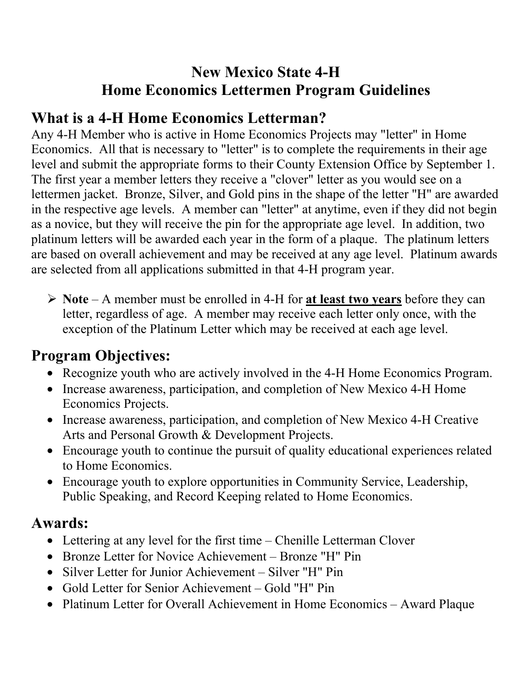## **New Mexico State 4-H Home Economics Lettermen Program Guidelines**

## **What is a 4-H Home Economics Letterman?**

Any 4-H Member who is active in Home Economics Projects may "letter" in Home Economics. All that is necessary to "letter" is to complete the requirements in their age level and submit the appropriate forms to their County Extension Office by September 1. The first year a member letters they receive a "clover" letter as you would see on a lettermen jacket. Bronze, Silver, and Gold pins in the shape of the letter "H" are awarded in the respective age levels. A member can "letter" at anytime, even if they did not begin as a novice, but they will receive the pin for the appropriate age level. In addition, two platinum letters will be awarded each year in the form of a plaque. The platinum letters are based on overall achievement and may be received at any age level. Platinum awards are selected from all applications submitted in that 4-H program year.

¾ **Note** – A member must be enrolled in 4-H for **at least two years** before they can letter, regardless of age. A member may receive each letter only once, with the exception of the Platinum Letter which may be received at each age level.

## **Program Objectives:**

- Recognize youth who are actively involved in the 4-H Home Economics Program.
- Increase awareness, participation, and completion of New Mexico 4-H Home Economics Projects.
- Increase awareness, participation, and completion of New Mexico 4-H Creative Arts and Personal Growth & Development Projects.
- Encourage youth to continue the pursuit of quality educational experiences related to Home Economics.
- Encourage youth to explore opportunities in Community Service, Leadership, Public Speaking, and Record Keeping related to Home Economics.

### **Awards:**

- Lettering at any level for the first time Chenille Letterman Clover
- Bronze Letter for Novice Achievement Bronze "H" Pin
- Silver Letter for Junior Achievement Silver "H" Pin
- Gold Letter for Senior Achievement Gold "H" Pin
- Platinum Letter for Overall Achievement in Home Economics Award Plaque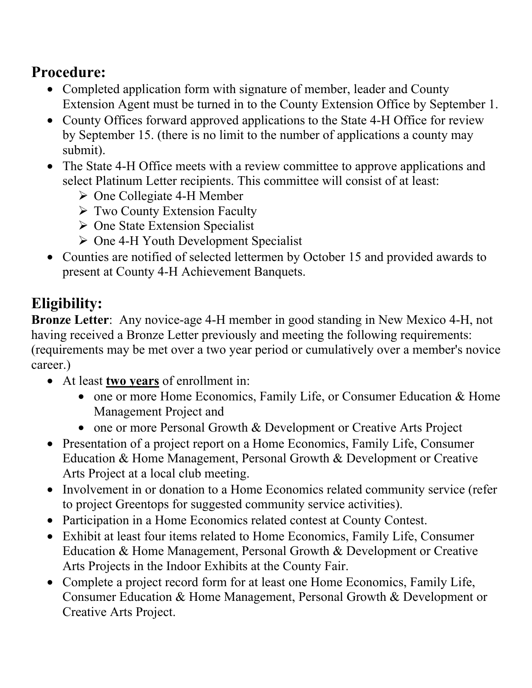## **Procedure:**

- Completed application form with signature of member, leader and County Extension Agent must be turned in to the County Extension Office by September 1.
- County Offices forward approved applications to the State 4-H Office for review by September 15. (there is no limit to the number of applications a county may submit).
- The State 4-H Office meets with a review committee to approve applications and select Platinum Letter recipients. This committee will consist of at least:
	- ¾ One Collegiate 4-H Member
	- $\triangleright$  Two County Extension Faculty
	- $\triangleright$  One State Extension Specialist
	- $\triangleright$  One 4-H Youth Development Specialist
- Counties are notified of selected lettermen by October 15 and provided awards to present at County 4-H Achievement Banquets.

# **Eligibility:**

**Bronze Letter**: Any novice-age 4-H member in good standing in New Mexico 4-H, not having received a Bronze Letter previously and meeting the following requirements: (requirements may be met over a two year period or cumulatively over a member's novice career.)

- • At least **two years** of enrollment in:
	- one or more Home Economics, Family Life, or Consumer Education & Home Management Project and
	- one or more Personal Growth & Development or Creative Arts Project
- Presentation of a project report on a Home Economics, Family Life, Consumer Education & Home Management, Personal Growth & Development or Creative Arts Project at a local club meeting.
- Involvement in or donation to a Home Economics related community service (refer to project Greentops for suggested community service activities).
- Participation in a Home Economics related contest at County Contest.
- Exhibit at least four items related to Home Economics, Family Life, Consumer Education & Home Management, Personal Growth & Development or Creative Arts Projects in the Indoor Exhibits at the County Fair.
- Complete a project record form for at least one Home Economics, Family Life, Consumer Education & Home Management, Personal Growth & Development or Creative Arts Project.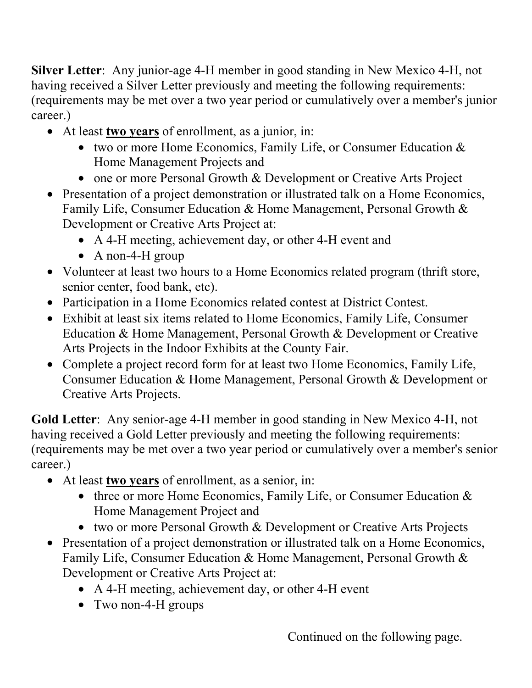**Silver Letter**: Any junior-age 4-H member in good standing in New Mexico 4-H, not having received a Silver Letter previously and meeting the following requirements: (requirements may be met over a two year period or cumulatively over a member's junior career.)

- • At least **two years** of enrollment, as a junior, in:
	- two or more Home Economics, Family Life, or Consumer Education  $\&$ Home Management Projects and
	- one or more Personal Growth & Development or Creative Arts Project
- Presentation of a project demonstration or illustrated talk on a Home Economics, Family Life, Consumer Education & Home Management, Personal Growth & Development or Creative Arts Project at:
	- A 4-H meeting, achievement day, or other 4-H event and
	- A non-4-H group
- Volunteer at least two hours to a Home Economics related program (thrift store, senior center, food bank, etc).
- Participation in a Home Economics related contest at District Contest.
- Exhibit at least six items related to Home Economics, Family Life, Consumer Education & Home Management, Personal Growth & Development or Creative Arts Projects in the Indoor Exhibits at the County Fair.
- Complete a project record form for at least two Home Economics, Family Life, Consumer Education & Home Management, Personal Growth & Development or Creative Arts Projects.

**Gold Letter**: Any senior-age 4-H member in good standing in New Mexico 4-H, not having received a Gold Letter previously and meeting the following requirements: (requirements may be met over a two year period or cumulatively over a member's senior career.)

- At least **two years** of enrollment, as a senior, in:
	- three or more Home Economics, Family Life, or Consumer Education  $\&$ Home Management Project and
	- two or more Personal Growth & Development or Creative Arts Projects
- Presentation of a project demonstration or illustrated talk on a Home Economics, Family Life, Consumer Education & Home Management, Personal Growth & Development or Creative Arts Project at:
	- A 4-H meeting, achievement day, or other 4-H event
	- Two non-4-H groups